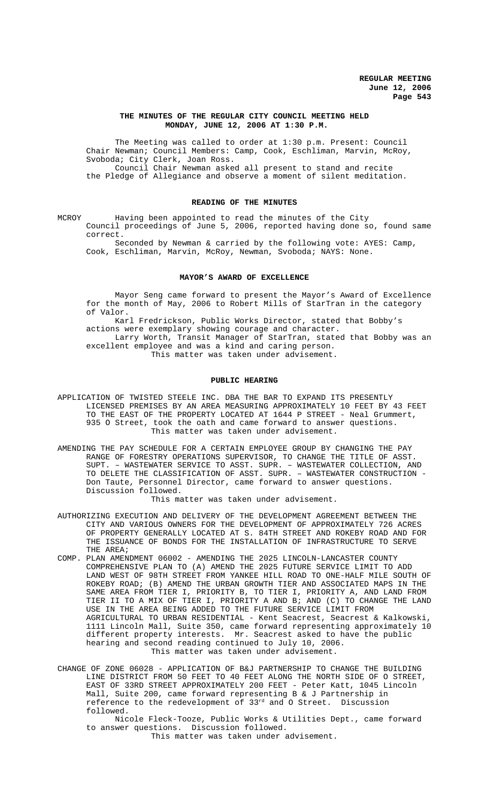### **THE MINUTES OF THE REGULAR CITY COUNCIL MEETING HELD MONDAY, JUNE 12, 2006 AT 1:30 P.M.**

The Meeting was called to order at 1:30 p.m. Present: Council Chair Newman; Council Members: Camp, Cook, Eschliman, Marvin, McRoy, Svoboda; City Clerk, Joan Ross. Council Chair Newman asked all present to stand and recite the Pledge of Allegiance and observe a moment of silent meditation.

### **READING OF THE MINUTES**

MCROY Having been appointed to read the minutes of the City Council proceedings of June 5, 2006, reported having done so, found same correct.

Seconded by Newman & carried by the following vote: AYES: Camp, Cook, Eschliman, Marvin, McRoy, Newman, Svoboda; NAYS: None.

### **MAYOR'S AWARD OF EXCELLENCE**

Mayor Seng came forward to present the Mayor's Award of Excellence for the month of May, 2006 to Robert Mills of StarTran in the category of Valor.

Karl Fredrickson, Public Works Director, stated that Bobby's actions were exemplary showing courage and character. Larry Worth, Transit Manager of StarTran, stated that Bobby was an excellent employee and was a kind and caring person. This matter was taken under advisement.

# **PUBLIC HEARING**

- APPLICATION OF TWISTED STEELE INC. DBA THE BAR TO EXPAND ITS PRESENTLY LICENSED PREMISES BY AN AREA MEASURING APPROXIMATELY 10 FEET BY 43 FEET TO THE EAST OF THE PROPERTY LOCATED AT 1644 P STREET - Neal Grummert, 935 O Street, took the oath and came forward to answer questions. This matter was taken under advisement.
- AMENDING THE PAY SCHEDULE FOR A CERTAIN EMPLOYEE GROUP BY CHANGING THE PAY RANGE OF FORESTRY OPERATIONS SUPERVISOR, TO CHANGE THE TITLE OF ASST. SUPT. – WASTEWATER SERVICE TO ASST. SUPR. – WASTEWATER COLLECTION, AND TO DELETE THE CLASSIFICATION OF ASST. SUPR. – WASTEWATER CONSTRUCTION - Don Taute, Personnel Director, came forward to answer questions. Discussion followed.

This matter was taken under advisement.

- AUTHORIZING EXECUTION AND DELIVERY OF THE DEVELOPMENT AGREEMENT BETWEEN THE CITY AND VARIOUS OWNERS FOR THE DEVELOPMENT OF APPROXIMATELY 726 ACRES OF PROPERTY GENERALLY LOCATED AT S. 84TH STREET AND ROKEBY ROAD AND FOR THE ISSUANCE OF BONDS FOR THE INSTALLATION OF INFRASTRUCTURE TO SERVE THE AREA;
- COMP. PLAN AMENDMENT 06002 AMENDING THE 2025 LINCOLN-LANCASTER COUNTY COMPREHENSIVE PLAN TO (A) AMEND THE 2025 FUTURE SERVICE LIMIT TO ADD LAND WEST OF 98TH STREET FROM YANKEE HILL ROAD TO ONE-HALF MILE SOUTH OF ROKEBY ROAD; (B) AMEND THE URBAN GROWTH TIER AND ASSOCIATED MAPS IN THE SAME AREA FROM TIER I, PRIORITY B, TO TIER I, PRIORITY A, AND LAND FROM TIER II TO A MIX OF TIER I, PRIORITY A AND B; AND (C) TO CHANGE THE LAND USE IN THE AREA BEING ADDED TO THE FUTURE SERVICE LIMIT FROM AGRICULTURAL TO URBAN RESIDENTIAL - Kent Seacrest, Seacrest & Kalkowski, 1111 Lincoln Mall, Suite 350, came forward representing approximately 10 different property interests. Mr. Seacrest asked to have the public hearing and second reading continued to July 10, 2006. This matter was taken under advisement.

CHANGE OF ZONE 06028 - APPLICATION OF B&J PARTNERSHIP TO CHANGE THE BUILDING LINE DISTRICT FROM 50 FEET TO 40 FEET ALONG THE NORTH SIDE OF O STREET, EAST OF 33RD STREET APPROXIMATELY 200 FEET - Peter Katt, 1045 Lincoln Mall, Suite 200, came forward representing B & J Partnership in reference to the redevelopment of 33rd and O Street. Discussion followed.

Nicole Fleck-Tooze, Public Works & Utilities Dept., came forward to answer questions. Discussion followed. This matter was taken under advisement.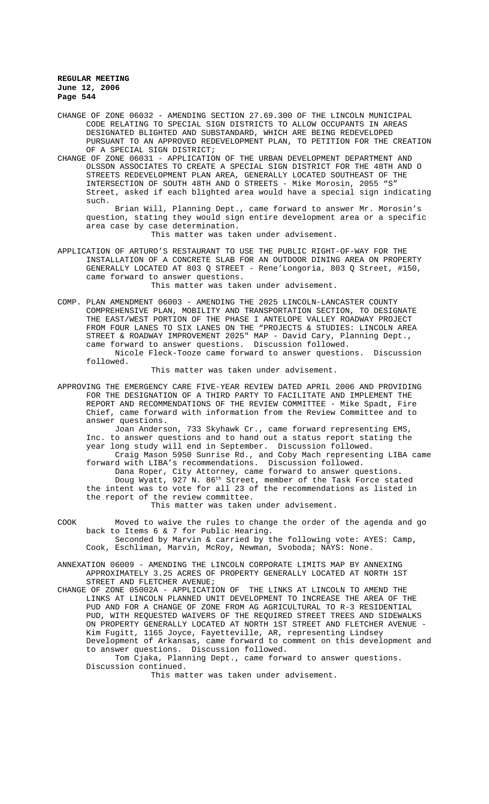CHANGE OF ZONE 06032 - AMENDING SECTION 27.69.300 OF THE LINCOLN MUNICIPAL CODE RELATING TO SPECIAL SIGN DISTRICTS TO ALLOW OCCUPANTS IN AREAS DESIGNATED BLIGHTED AND SUBSTANDARD, WHICH ARE BEING REDEVELOPED PURSUANT TO AN APPROVED REDEVELOPMENT PLAN, TO PETITION FOR THE CREATION OF A SPECIAL SIGN DISTRICT;

CHANGE OF ZONE 06031 - APPLICATION OF THE URBAN DEVELOPMENT DEPARTMENT AND OLSSON ASSOCIATES TO CREATE A SPECIAL SIGN DISTRICT FOR THE 48TH AND O STREETS REDEVELOPMENT PLAN AREA, GENERALLY LOCATED SOUTHEAST OF THE INTERSECTION OF SOUTH 48TH AND O STREETS - Mike Morosin, 2055 "S" Street, asked if each blighted area would have a special sign indicating such.

Brian Will, Planning Dept., came forward to answer Mr. Morosin's question, stating they would sign entire development area or a specific area case by case determination.

This matter was taken under advisement.

APPLICATION OF ARTURO'S RESTAURANT TO USE THE PUBLIC RIGHT-OF-WAY FOR THE INSTALLATION OF A CONCRETE SLAB FOR AN OUTDOOR DINING AREA ON PROPERTY GENERALLY LOCATED AT 803 Q STREET - Rene'Longoria, 803 Q Street, #150, came forward to answer questions. This matter was taken under advisement.

COMP. PLAN AMENDMENT 06003 - AMENDING THE 2025 LINCOLN-LANCASTER COUNTY COMPREHENSIVE PLAN, MOBILITY AND TRANSPORTATION SECTION, TO DESIGNATE THE EAST/WEST PORTION OF THE PHASE I ANTELOPE VALLEY ROADWAY PROJECT FROM FOUR LANES TO SIX LANES ON THE "PROJECTS & STUDIES: LINCOLN AREA STREET & ROADWAY IMPROVEMENT 2025" MAP - David Cary, Planning Dept., came forward to answer questions. Discussion followed. Nicole Fleck-Tooze came forward to answer questions. Discussion followed.

This matter was taken under advisement.

APPROVING THE EMERGENCY CARE FIVE-YEAR REVIEW DATED APRIL 2006 AND PROVIDING FOR THE DESIGNATION OF A THIRD PARTY TO FACILITATE AND IMPLEMENT THE REPORT AND RECOMMENDATIONS OF THE REVIEW COMMITTEE - Mike Spadt, Fire Chief, came forward with information from the Review Committee and to answer questions.

Joan Anderson, 733 Skyhawk Cr., came forward representing EMS, Inc. to answer questions and to hand out a status report stating the year long study will end in September. Discussion followed. Craig Mason 5950 Sunrise Rd., and Coby Mach representing LIBA came

forward with LIBA's recommendations. Discussion followed. Dana Roper, City Attorney, came forward to answer questions. Doug Wyatt, 927 N. 86<sup>th</sup> Street, member of the Task Force stated the intent was to vote for all 23 of the recommendations as listed in the report of the review committee.

This matter was taken under advisement.

- COOK Moved to waive the rules to change the order of the agenda and go back to Items 6 & 7 for Public Hearing. Seconded by Marvin & carried by the following vote: AYES: Camp, Cook, Eschliman, Marvin, McRoy, Newman, Svoboda; NAYS: None.
- ANNEXATION 06009 AMENDING THE LINCOLN CORPORATE LIMITS MAP BY ANNEXING APPROXIMATELY 3.25 ACRES OF PROPERTY GENERALLY LOCATED AT NORTH 1ST STREET AND FLETCHER AVENUE;

CHANGE OF ZONE 05002A - APPLICATION OF THE LINKS AT LINCOLN TO AMEND THE LINKS AT LINCOLN PLANNED UNIT DEVELOPMENT TO INCREASE THE AREA OF THE PUD AND FOR A CHANGE OF ZONE FROM AG AGRICULTURAL TO R-3 RESIDENTIAL PUD, WITH REQUESTED WAIVERS OF THE REQUIRED STREET TREES AND SIDEWALKS ON PROPERTY GENERALLY LOCATED AT NORTH 1ST STREET AND FLETCHER AVENUE - Kim Fugitt, 1165 Joyce, Fayetteville, AR, representing Lindsey Development of Arkansas, came forward to comment on this development and to answer questions. Discussion followed.

Tom Cjaka, Planning Dept., came forward to answer questions. Discussion continued.

This matter was taken under advisement.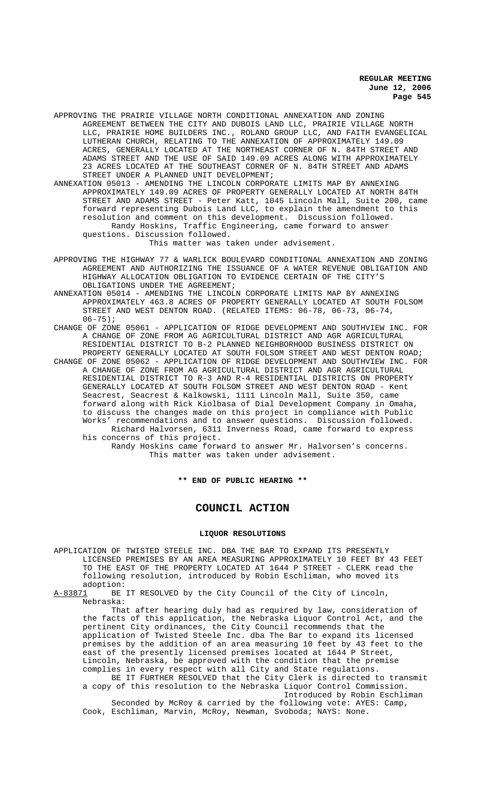APPROVING THE PRAIRIE VILLAGE NORTH CONDITIONAL ANNEXATION AND ZONING AGREEMENT BETWEEN THE CITY AND DUBOIS LAND LLC, PRAIRIE VILLAGE NORTH LLC, PRAIRIE HOME BUILDERS INC., ROLAND GROUP LLC, AND FAITH EVANGELICAL LUTHERAN CHURCH, RELATING TO THE ANNEXATION OF APPROXIMATELY 149.09 ACRES, GENERALLY LOCATED AT THE NORTHEAST CORNER OF N. 84TH STREET AND ADAMS STREET AND THE USE OF SAID 149.09 ACRES ALONG WITH APPROXIMATELY 23 ACRES LOCATED AT THE SOUTHEAST CORNER OF N. 84TH STREET AND ADAMS STREET UNDER A PLANNED UNIT DEVELOPMENT;

ANNEXATION 05013 - AMENDING THE LINCOLN CORPORATE LIMITS MAP BY ANNEXING APPROXIMATELY 149.09 ACRES OF PROPERTY GENERALLY LOCATED AT NORTH 84TH STREET AND ADAMS STREET - Peter Katt, 1045 Lincoln Mall, Suite 200, came forward representing Dubois Land LLC, to explain the amendment to this resolution and comment on this development. Discussion followed. Randy Hoskins, Traffic Engineering, came forward to answer

questions. Discussion followed.

This matter was taken under advisement.

APPROVING THE HIGHWAY 77 & WARLICK BOULEVARD CONDITIONAL ANNEXATION AND ZONING AGREEMENT AND AUTHORIZING THE ISSUANCE OF A WATER REVENUE OBLIGATION AND HIGHWAY ALLOCATION OBLIGATION TO EVIDENCE CERTAIN OF THE CITY'S OBLIGATIONS UNDER THE AGREEMENT;

ANNEXATION 05014 - AMENDING THE LINCOLN CORPORATE LIMITS MAP BY ANNEXING APPROXIMATELY 463.8 ACRES OF PROPERTY GENERALLY LOCATED AT SOUTH FOLSOM STREET AND WEST DENTON ROAD. (RELATED ITEMS: 06-78, 06-73, 06-74,  $06 - 75$ );

- CHANGE OF ZONE 05061 APPLICATION OF RIDGE DEVELOPMENT AND SOUTHVIEW INC. FOR A CHANGE OF ZONE FROM AG AGRICULTURAL DISTRICT AND AGR AGRICULTURAL RESIDENTIAL DISTRICT TO B-2 PLANNED NEIGHBORHOOD BUSINESS DISTRICT ON PROPERTY GENERALLY LOCATED AT SOUTH FOLSOM STREET AND WEST DENTON ROAD;
- CHANGE OF ZONE 05062 APPLICATION OF RIDGE DEVELOPMENT AND SOUTHVIEW INC. FOR A CHANGE OF ZONE FROM AG AGRICULTURAL DISTRICT AND AGR AGRICULTURAL RESIDENTIAL DISTRICT TO R-3 AND R-4 RESIDENTIAL DISTRICTS ON PROPERTY GENERALLY LOCATED AT SOUTH FOLSOM STREET AND WEST DENTON ROAD - Kent Seacrest, Seacrest & Kalkowski, 1111 Lincoln Mall, Suite 350, came forward along with Rick Kiolbasa of Dial Development Company in Omaha, to discuss the changes made on this project in compliance with Public Works' recommendations and to answer questions. Discussion followed. Richard Halvorsen, 6311 Inverness Road, came forward to express

his concerns of this project. Randy Hoskins came forward to answer Mr. Halvorsen's concerns. This matter was taken under advisement.

**\*\* END OF PUBLIC HEARING \*\***

## **COUNCIL ACTION**

### **LIQUOR RESOLUTIONS**

APPLICATION OF TWISTED STEELE INC. DBA THE BAR TO EXPAND ITS PRESENTLY LICENSED PREMISES BY AN AREA MEASURING APPROXIMATELY 10 FEET BY 43 FEET TO THE EAST OF THE PROPERTY LOCATED AT 1644 P STREET - CLERK read the following resolution, introduced by Robin Eschliman, who moved its

adoption:<br>A-83871 BE BE IT RESOLVED by the City Council of the City of Lincoln, Nebraska:

That after hearing duly had as required by law, consideration of the facts of this application, the Nebraska Liquor Control Act, and the pertinent City ordinances, the City Council recommends that the application of Twisted Steele Inc. dba The Bar to expand its licensed premises by the addition of an area measuring 10 feet by 43 feet to the east of the presently licensed premises located at 1644 P Street, Lincoln, Nebraska, be approved with the condition that the premise complies in every respect with all City and State regulations.

BE IT FURTHER RESOLVED that the City Clerk is directed to transmit a copy of this resolution to the Nebraska Liquor Control Commission. Introduced by Robin Eschliman

Seconded by McRoy & carried by the following vote: AYES: Camp, Cook, Eschliman, Marvin, McRoy, Newman, Svoboda; NAYS: None.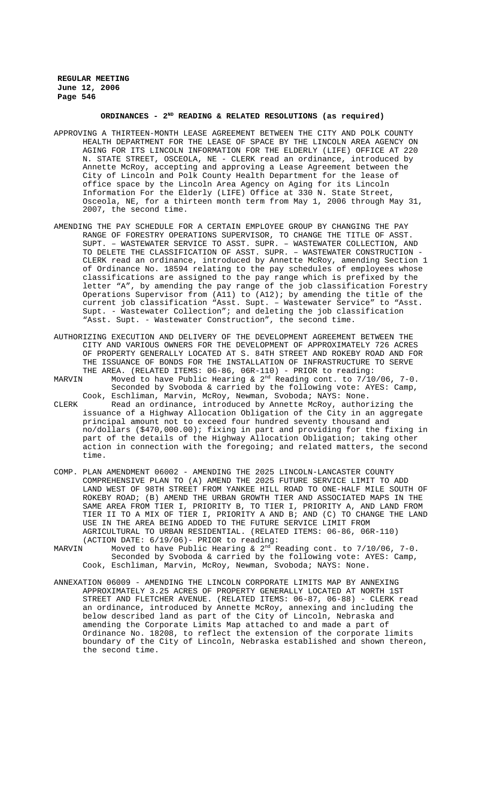# **ORDINANCES - 2ND READING & RELATED RESOLUTIONS (as required)**

- APPROVING A THIRTEEN-MONTH LEASE AGREEMENT BETWEEN THE CITY AND POLK COUNTY HEALTH DEPARTMENT FOR THE LEASE OF SPACE BY THE LINCOLN AREA AGENCY ON AGING FOR ITS LINCOLN INFORMATION FOR THE ELDERLY (LIFE) OFFICE AT 220 N. STATE STREET, OSCEOLA, NE - CLERK read an ordinance, introduced by Annette McRoy, accepting and approving a Lease Agreement between the City of Lincoln and Polk County Health Department for the lease of office space by the Lincoln Area Agency on Aging for its Lincoln Information For the Elderly (LIFE) Office at 330 N. State Street, Osceola, NE, for a thirteen month term from May 1, 2006 through May 31, 2007, the second time.
- AMENDING THE PAY SCHEDULE FOR A CERTAIN EMPLOYEE GROUP BY CHANGING THE PAY RANGE OF FORESTRY OPERATIONS SUPERVISOR, TO CHANGE THE TITLE OF ASST. SUPT. – WASTEWATER SERVICE TO ASST. SUPR. – WASTEWATER COLLECTION, AND TO DELETE THE CLASSIFICATION OF ASST. SUPR. – WASTEWATER CONSTRUCTION - CLERK read an ordinance, introduced by Annette McRoy, amending Section 1 of Ordinance No. 18594 relating to the pay schedules of employees whose classifications are assigned to the pay range which is prefixed by the letter "A", by amending the pay range of the job classification Forestry Operations Supervisor from (A11) to (A12); by amending the title of the current job classification "Asst. Supt. – Wastewater Service" to "Asst. Supt. - Wastewater Collection"; and deleting the job classification "Asst. Supt. - Wastewater Construction", the second time.
- AUTHORIZING EXECUTION AND DELIVERY OF THE DEVELOPMENT AGREEMENT BETWEEN THE CITY AND VARIOUS OWNERS FOR THE DEVELOPMENT OF APPROXIMATELY 726 ACRES OF PROPERTY GENERALLY LOCATED AT S. 84TH STREET AND ROKEBY ROAD AND FOR THE ISSUANCE OF BONDS FOR THE INSTALLATION OF INFRASTRUCTURE TO SERVE THE AREA. (RELATED ITEMS: 06-86, 06R-110) - PRIOR to reading:
- MARVIN Moved to have Public Hearing & 2<sup>nd</sup> Reading cont. to 7/10/06, 7-0. Seconded by Svoboda & carried by the following vote: AYES: Camp, Cook, Eschliman, Marvin, McRoy, Newman, Svoboda; NAYS: None.
- CLERK Read an ordinance, introduced by Annette McRoy, authorizing the issuance of a Highway Allocation Obligation of the City in an aggregate principal amount not to exceed four hundred seventy thousand and no/dollars (\$470,000.00); fixing in part and providing for the fixing in part of the details of the Highway Allocation Obligation; taking other action in connection with the foregoing; and related matters, the second time.
- COMP. PLAN AMENDMENT 06002 AMENDING THE 2025 LINCOLN-LANCASTER COUNTY COMPREHENSIVE PLAN TO (A) AMEND THE 2025 FUTURE SERVICE LIMIT TO ADD LAND WEST OF 98TH STREET FROM YANKEE HILL ROAD TO ONE-HALF MILE SOUTH OF ROKEBY ROAD; (B) AMEND THE URBAN GROWTH TIER AND ASSOCIATED MAPS IN THE SAME AREA FROM TIER I, PRIORITY B, TO TIER I, PRIORITY A, AND LAND FROM TIER II TO A MIX OF TIER I, PRIORITY A AND B; AND (C) TO CHANGE THE LAND USE IN THE AREA BEING ADDED TO THE FUTURE SERVICE LIMIT FROM AGRICULTURAL TO URBAN RESIDENTIAL. (RELATED ITEMS: 06-86, 06R-110)
- (ACTION DATE:  $6/19/06$ ) PRIOR to reading:<br>MARVIN Moved to have Public Hearing & 2<sup>nd</sup> R Moved to have Public Hearing &  $2<sup>nd</sup>$  Reading cont. to  $7/10/06$ , 7-0. Seconded by Svoboda & carried by the following vote: AYES: Camp, Cook, Eschliman, Marvin, McRoy, Newman, Svoboda; NAYS: None.
- ANNEXATION 06009 AMENDING THE LINCOLN CORPORATE LIMITS MAP BY ANNEXING APPROXIMATELY 3.25 ACRES OF PROPERTY GENERALLY LOCATED AT NORTH 1ST STREET AND FLETCHER AVENUE. (RELATED ITEMS: 06-87, 06-88) - CLERK read an ordinance, introduced by Annette McRoy, annexing and including the below described land as part of the City of Lincoln, Nebraska and amending the Corporate Limits Map attached to and made a part of Ordinance No. 18208, to reflect the extension of the corporate limits boundary of the City of Lincoln, Nebraska established and shown thereon, the second time.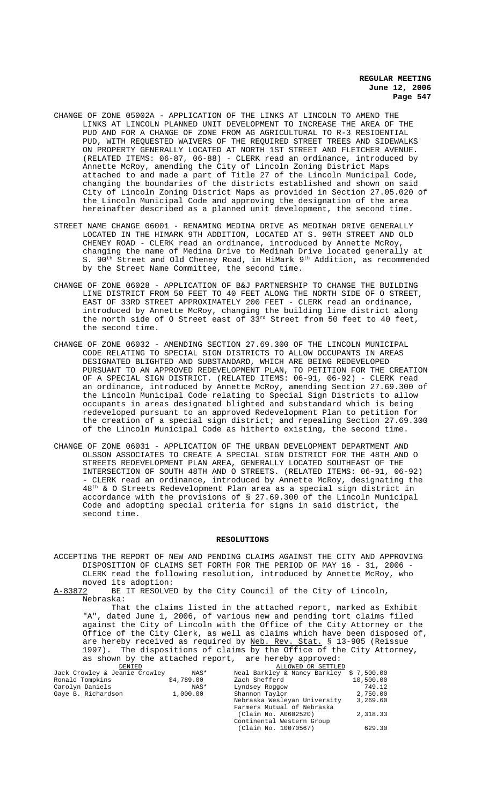- CHANGE OF ZONE 05002A APPLICATION OF THE LINKS AT LINCOLN TO AMEND THE LINKS AT LINCOLN PLANNED UNIT DEVELOPMENT TO INCREASE THE AREA OF THE PUD AND FOR A CHANGE OF ZONE FROM AG AGRICULTURAL TO R-3 RESIDENTIAL PUD, WITH REQUESTED WAIVERS OF THE REQUIRED STREET TREES AND SIDEWALKS ON PROPERTY GENERALLY LOCATED AT NORTH 1ST STREET AND FLETCHER AVENUE. (RELATED ITEMS: 06-87, 06-88) - CLERK read an ordinance, introduced by Annette McRoy, amending the City of Lincoln Zoning District Maps attached to and made a part of Title 27 of the Lincoln Municipal Code, changing the boundaries of the districts established and shown on said City of Lincoln Zoning District Maps as provided in Section 27.05.020 of the Lincoln Municipal Code and approving the designation of the area hereinafter described as a planned unit development, the second time.
- STREET NAME CHANGE 06001 RENAMING MEDINA DRIVE AS MEDINAH DRIVE GENERALLY LOCATED IN THE HIMARK 9TH ADDITION, LOCATED AT S. 90TH STREET AND OLD CHENEY ROAD - CLERK read an ordinance, introduced by Annette McRoy, changing the name of Medina Drive to Medinah Drive located generally at S. 90<sup>th</sup> Street and Old Cheney Road, in HiMark 9<sup>th</sup> Addition, as recommended by the Street Name Committee, the second time.
- CHANGE OF ZONE 06028 APPLICATION OF B&J PARTNERSHIP TO CHANGE THE BUILDING LINE DISTRICT FROM 50 FEET TO 40 FEET ALONG THE NORTH SIDE OF O STREET, EAST OF 33RD STREET APPROXIMATELY 200 FEET - CLERK read an ordinance, introduced by Annette McRoy, changing the building line district along the north side of O Street east of  $33<sup>rd</sup>$  Street from 50 feet to 40 feet, the second time.
- CHANGE OF ZONE 06032 AMENDING SECTION 27.69.300 OF THE LINCOLN MUNICIPAL CODE RELATING TO SPECIAL SIGN DISTRICTS TO ALLOW OCCUPANTS IN AREAS DESIGNATED BLIGHTED AND SUBSTANDARD, WHICH ARE BEING REDEVELOPED PURSUANT TO AN APPROVED REDEVELOPMENT PLAN, TO PETITION FOR THE CREATION OF A SPECIAL SIGN DISTRICT. (RELATED ITEMS: 06-91, 06-92) - CLERK read an ordinance, introduced by Annette McRoy, amending Section 27.69.300 of the Lincoln Municipal Code relating to Special Sign Districts to allow occupants in areas designated blighted and substandard which is being redeveloped pursuant to an approved Redevelopment Plan to petition for the creation of a special sign district; and repealing Section 27.69.300 of the Lincoln Municipal Code as hitherto existing, the second time.
- CHANGE OF ZONE 06031 APPLICATION OF THE URBAN DEVELOPMENT DEPARTMENT AND OLSSON ASSOCIATES TO CREATE A SPECIAL SIGN DISTRICT FOR THE 48TH AND O STREETS REDEVELOPMENT PLAN AREA, GENERALLY LOCATED SOUTHEAST OF THE INTERSECTION OF SOUTH 48TH AND O STREETS. (RELATED ITEMS: 06-91, 06-92) - CLERK read an ordinance, introduced by Annette McRoy, designating the 48th & O Streets Redevelopment Plan area as a special sign district in accordance with the provisions of § 27.69.300 of the Lincoln Municipal Code and adopting special criteria for signs in said district, the second time.

#### **RESOLUTIONS**

ACCEPTING THE REPORT OF NEW AND PENDING CLAIMS AGAINST THE CITY AND APPROVING DISPOSITION OF CLAIMS SET FORTH FOR THE PERIOD OF MAY 16 - 31, 2006 - CLERK read the following resolution, introduced by Annette McRoy, who moved its adoption:<br><u>A-83872</u> BE IT RESOLVE

BE IT RESOLVED by the City Council of the City of Lincoln, Nebraska:

That the claims listed in the attached report, marked as Exhibit "A", dated June 1, 2006, of various new and pending tort claims filed against the City of Lincoln with the Office of the City Attorney or the Office of the City Clerk, as well as claims which have been disposed of, are hereby received as required by <u>Neb. Rev. Stat.</u> § 13-905 (Reissue 1997). The dispositions of claims by the Office of the City Attorney, as shown by the attached report, are hereby approved:

| DENTED                        |            | ALLOWED OR SETTLED                       |           |
|-------------------------------|------------|------------------------------------------|-----------|
| Jack Crowley & Jeanie Crowley | NAS*       | Neal Barkley & Nancy Barkley \$ 7,500.00 |           |
| Ronald Tompkins               | \$4,789.00 | Zach Shefferd                            | 10,500.00 |
| Carolyn Daniels               | NAS*       | Lyndsey Roggow                           | 749.12    |
| Gaye B. Richardson            | 1,000.00   | Shannon Taylor                           | 2,750.00  |
|                               |            | Nebraska Wesleyan University             | 3,269.60  |
|                               |            | Farmers Mutual of Nebraska               |           |
|                               |            | (Claim No. A0602520)                     | 2,318.33  |
|                               |            | Continental Western Group                |           |
|                               |            | (Claim No. 10070567)                     | 629.30    |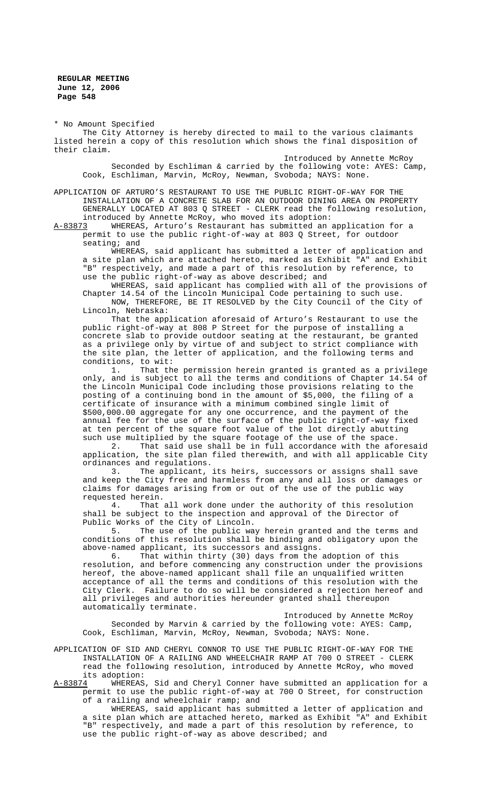\* No Amount Specified

The City Attorney is hereby directed to mail to the various claimants listed herein a copy of this resolution which shows the final disposition of their claim.

Introduced by Annette McRoy Seconded by Eschliman & carried by the following vote: AYES: Camp, Cook, Eschliman, Marvin, McRoy, Newman, Svoboda; NAYS: None.

APPLICATION OF ARTURO'S RESTAURANT TO USE THE PUBLIC RIGHT-OF-WAY FOR THE INSTALLATION OF A CONCRETE SLAB FOR AN OUTDOOR DINING AREA ON PROPERTY GENERALLY LOCATED AT 803 Q STREET - CLERK read the following resolution, introduced by Annette McRoy, who moved its adoption:<br>A-83873 WHEREAS, Arturo's Restaurant has submitted an

WHEREAS, Arturo's Restaurant has submitted an application for a permit to use the public right-of-way at 803 Q Street, for outdoor seating; and

WHEREAS, said applicant has submitted a letter of application and a site plan which are attached hereto, marked as Exhibit "A" and Exhibit "B" respectively, and made a part of this resolution by reference, to use the public right-of-way as above described; and

WHEREAS, said applicant has complied with all of the provisions of Chapter 14.54 of the Lincoln Municipal Code pertaining to such use. NOW, THEREFORE, BE IT RESOLVED by the City Council of the City of

Lincoln, Nebraska:

That the application aforesaid of Arturo's Restaurant to use the public right-of-way at 808 P Street for the purpose of installing a concrete slab to provide outdoor seating at the restaurant, be granted as a privilege only by virtue of and subject to strict compliance with the site plan, the letter of application, and the following terms and conditions, to wit:

1. That the permission herein granted is granted as a privilege only, and is subject to all the terms and conditions of Chapter 14.54 of the Lincoln Municipal Code including those provisions relating to the posting of a continuing bond in the amount of \$5,000, the filing of a certificate of insurance with a minimum combined single limit of \$500,000.00 aggregate for any one occurrence, and the payment of the annual fee for the use of the surface of the public right-of-way fixed at ten percent of the square foot value of the lot directly abutting such use multiplied by the square footage of the use of the space.

2. That said use shall be in full accordance with the aforesaid application, the site plan filed therewith, and with all applicable City ordinances and regulations.

3. The applicant, its heirs, successors or assigns shall save and keep the City free and harmless from any and all loss or damages or claims for damages arising from or out of the use of the public way

requested herein.<br>4. That That all work done under the authority of this resolution shall be subject to the inspection and approval of the Director of Public Works of the City of Lincoln.<br>5. The use of the public way

The use of the public way herein granted and the terms and conditions of this resolution shall be binding and obligatory upon the above-named applicant, its successors and assigns.

6. That within thirty (30) days from the adoption of this resolution, and before commencing any construction under the provisions hereof, the above-named applicant shall file an unqualified written acceptance of all the terms and conditions of this resolution with the City Clerk. Failure to do so will be considered a rejection hereof and all privileges and authorities hereunder granted shall thereupon automatically terminate.

Introduced by Annette McRoy Seconded by Marvin & carried by the following vote: AYES: Camp, Cook, Eschliman, Marvin, McRoy, Newman, Svoboda; NAYS: None.

APPLICATION OF SID AND CHERYL CONNOR TO USE THE PUBLIC RIGHT-OF-WAY FOR THE INSTALLATION OF A RAILING AND WHEELCHAIR RAMP AT 700 O STREET - CLERK read the following resolution, introduced by Annette McRoy, who moved

its adoption: WHEREAS, Sid and Cheryl Conner have submitted an application for a permit to use the public right-of-way at 700 O Street, for construction of a railing and wheelchair ramp; and

WHEREAS, said applicant has submitted a letter of application and a site plan which are attached hereto, marked as Exhibit "A" and Exhibit "B" respectively, and made a part of this resolution by reference, to use the public right-of-way as above described; and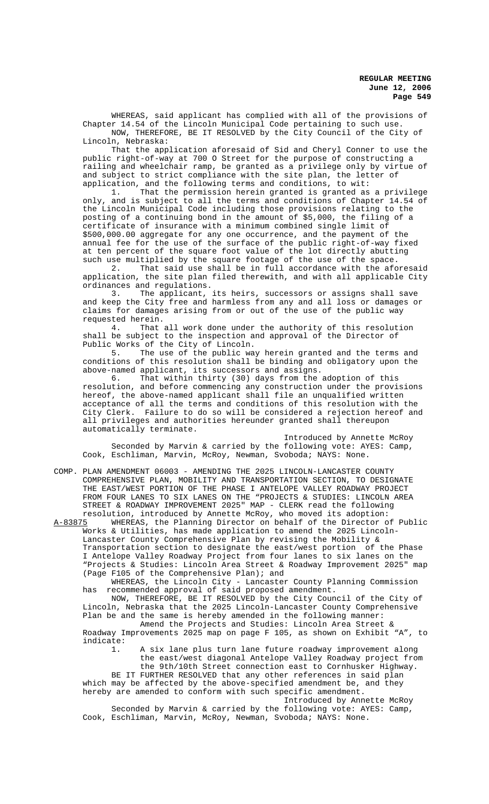WHEREAS, said applicant has complied with all of the provisions of Chapter 14.54 of the Lincoln Municipal Code pertaining to such use. NOW, THEREFORE, BE IT RESOLVED by the City Council of the City of Lincoln, Nebraska:

That the application aforesaid of Sid and Cheryl Conner to use the public right-of-way at 700 O Street for the purpose of constructing a railing and wheelchair ramp, be granted as a privilege only by virtue of and subject to strict compliance with the site plan, the letter of application, and the following terms and conditions, to wit:

1. That the permission herein granted is granted as a privilege only, and is subject to all the terms and conditions of Chapter 14.54 of the Lincoln Municipal Code including those provisions relating to the posting of a continuing bond in the amount of \$5,000, the filing of a certificate of insurance with a minimum combined single limit of \$500,000.00 aggregate for any one occurrence, and the payment of the annual fee for the use of the surface of the public right-of-way fixed at ten percent of the square foot value of the lot directly abutting such use multiplied by the square footage of the use of the space.

2. That said use shall be in full accordance with the aforesaid application, the site plan filed therewith, and with all applicable City ordinances and regulations.

3. The applicant, its heirs, successors or assigns shall save and keep the City free and harmless from any and all loss or damages or claims for damages arising from or out of the use of the public way requested herein.

4. That all work done under the authority of this resolution shall be subject to the inspection and approval of the Director of Public Works of the City of Lincoln.<br>5. The use of the public wa

The use of the public way herein granted and the terms and conditions of this resolution shall be binding and obligatory upon the above-named applicant, its successors and assigns.

6. That within thirty (30) days from the adoption of this resolution, and before commencing any construction under the provisions hereof, the above-named applicant shall file an unqualified written acceptance of all the terms and conditions of this resolution with the City Clerk. Failure to do so will be considered a rejection hereof and all privileges and authorities hereunder granted shall thereupon automatically terminate.

Introduced by Annette McRoy Seconded by Marvin & carried by the following vote: AYES: Camp, Cook, Eschliman, Marvin, McRoy, Newman, Svoboda; NAYS: None.

COMP. PLAN AMENDMENT 06003 - AMENDING THE 2025 LINCOLN-LANCASTER COUNTY COMPREHENSIVE PLAN, MOBILITY AND TRANSPORTATION SECTION, TO DESIGNATE THE EAST/WEST PORTION OF THE PHASE I ANTELOPE VALLEY ROADWAY PROJECT FROM FOUR LANES TO SIX LANES ON THE "PROJECTS & STUDIES: LINCOLN AREA STREET & ROADWAY IMPROVEMENT 2025" MAP - CLERK read the following

resolution, introduced by Annette McRoy, who moved its adoption:<br>A-83875 WHEREAS, the Planning Director on behalf of the Director o WHEREAS, the Planning Director on behalf of the Director of Public Works & Utilities, has made application to amend the 2025 Lincoln-Lancaster County Comprehensive Plan by revising the Mobility & Transportation section to designate the east/west portion of the Phase I Antelope Valley Roadway Project from four lanes to six lanes on the "Projects & Studies: Lincoln Area Street & Roadway Improvement 2025" map (Page F105 of the Comprehensive Plan); and

WHEREAS, the Lincoln City - Lancaster County Planning Commission has recommended approval of said proposed amendment.

NOW, THEREFORE, BE IT RESOLVED by the City Council of the City of Lincoln, Nebraska that the 2025 Lincoln-Lancaster County Comprehensive Plan be and the same is hereby amended in the following manner:

Amend the Projects and Studies: Lincoln Area Street & Roadway Improvements 2025 map on page F 105, as shown on Exhibit "A", to indicate:

1. A six lane plus turn lane future roadway improvement along the east/west diagonal Antelope Valley Roadway project from the 9th/10th Street connection east to Cornhusker Highway.

BE IT FURTHER RESOLVED that any other references in said plan which may be affected by the above-specified amendment be, and they hereby are amended to conform with such specific amendment.

Introduced by Annette McRoy Seconded by Marvin & carried by the following vote: AYES: Camp, Cook, Eschliman, Marvin, McRoy, Newman, Svoboda; NAYS: None.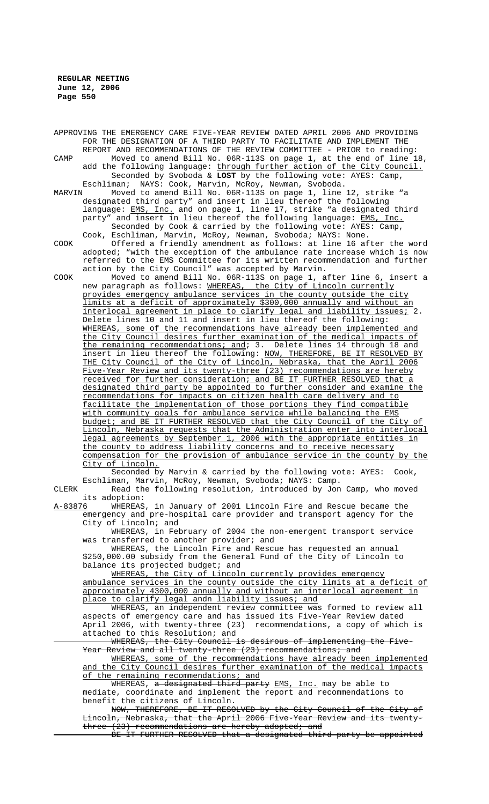APPROVING THE EMERGENCY CARE FIVE-YEAR REVIEW DATED APRIL 2006 AND PROVIDING FOR THE DESIGNATION OF A THIRD PARTY TO FACILITATE AND IMPLEMENT THE REPORT AND RECOMMENDATIONS OF THE REVIEW COMMITTEE - PRIOR to reading: CAMP Moved to amend Bill No. 06R-113S on page 1, at the end of line 18, add the following language: through further action of the City Council. Seconded by Svoboda & **LOST** by the following vote: AYES: Camp, Eschliman; NAYS: Cook, Marvin, McRoy, Newman, Svoboda.<br>MARVIN Moved to amend Bill No. 06R-113S on page 1, line Moved to amend Bill No. 06R-113S on page 1, line 12, strike "a designated third party" and insert in lieu thereof the following language: <u>EMS, Inc.</u> and on page 1, line 17, strike "a designated third party" and insert in lieu thereof the following language: EMS, Inc. Seconded by Cook & carried by the following vote: AYES: Camp, Cook, Eschliman, Marvin, McRoy, Newman, Svoboda; NAYS: None. COOK Offered a friendly amendment as follows: at line 16 after the word adopted; "with the exception of the ambulance rate increase which is now referred to the EMS Committee for its written recommendation and further action by the City Council" was accepted by Marvin. COOK Moved to amend Bill No. 06R-113S on page 1, after line 6, insert a new paragraph as follows: WHEREAS, the City of Lincoln currently provides emergency ambulance services in the county outside the city limits at a deficit of approximately \$300,000 annually and without an interlocal agreement in place to clarify legal and liability issues; 2. Delete lines 10 and 11 and insert in lieu thereof the following: WHEREAS, some of the recommendations have already been implemented and the City Council desires further examination of the medical impacts of the remaining recommendations; and; 3. Delete lines 14 through 18 and insert in lieu thereof the following: NOW, THEREFORE, BE IT RESOLVED BY THE City Council of the City of Lincoln, Nebraska, that the April 2006 Five-Year Review and its twenty-three (23) recommendations are hereby received for further consideration; and BE IT FURTHER RESOLVED that a designated third party be appointed to further consider and examine the recommendations for impacts on citizen health care delivery and to facilitate the implementation of those portions they find compatible with community goals for ambulance service while balancing the EMS budget; and BE IT FURTHER RESOLVED that the City Council of the City of Lincoln, Nebraska requests that the Administration enter into interlocal legal agreements by September 1, 2006 with the appropriate entities in the county to address liability concerns and to receive necessary compensation for the provision of ambulance service in the county by the City of Lincoln. Seconded by Marvin & carried by the following vote: AYES: Cook, Eschliman, Marvin, McRoy, Newman, Svoboda; NAYS: Camp. CLERK Read the following resolution, introduced by Jon Camp, who moved its adoption: A-83876 WHEREAS, in January of 2001 Lincoln Fire and Rescue became the

emergency and pre-hospital care provider and transport agency for the City of Lincoln; and

WHEREAS, in February of 2004 the non-emergent transport service was transferred to another provider; and

WHEREAS, the Lincoln Fire and Rescue has requested an annual \$250,000.00 subsidy from the General Fund of the City of Lincoln to balance its projected budget; and

WHEREAS, the City of Lincoln currently provides emergency ambulance services in the county outside the city limits at a deficit of approximately 4300,000 annually and without an interlocal agreement in place to clarify legal andn liability issues; and

WHEREAS, an independent review committee was formed to review all aspects of emergency care and has issued its Five-Year Review dated April 2006, with twenty-three (23) recommendations, a copy of which is attached to this Resolution; and

WHEREAS, the City Council is desirous of implementing the Five-Year Review and all twenty-three (23) recommendations; and

WHEREAS, some of the recommendations have already been implemented and the City Council desires further examination of the medical impacts of the remaining recommendations; and

WHEREAS, a designated third party EMS, Inc. may be able to mediate, coordinate and implement the report and recommendations to benefit the citizens of Lincoln.

NOW, THEREFORE, BE IT RESOLVED by the City Council of the City of Lincoln, Nebraska, that the April 2006 Five-Year Review and its twentythree (23) recommendations are hereby adopted; and

BE IT FURTHER RESOLVED that a designated third party be appointed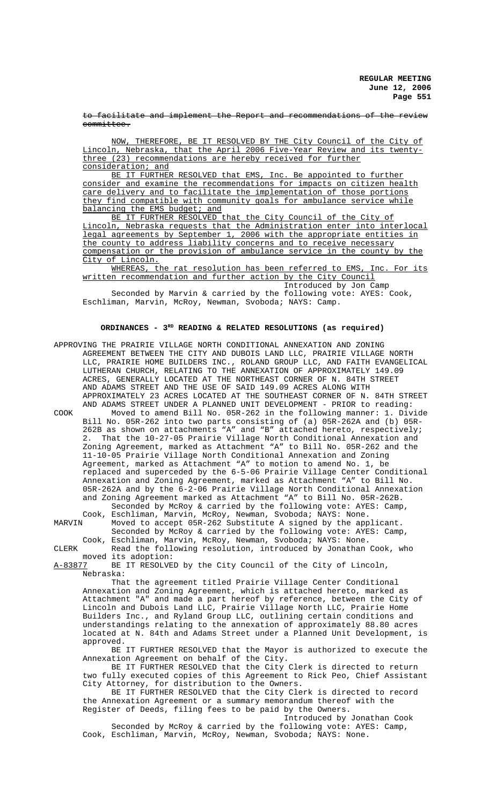to facilitate and implement the Report and recommendations of the review committee.

NOW, THEREFORE, BE IT RESOLVED BY THE City Council of the City of Lincoln, Nebraska, that the April 2006 Five-Year Review and its twentythree (23) recommendations are hereby received for further consideration; and

BE IT FURTHER RESOLVED that EMS, Inc. Be appointed to further consider and examine the recommendations for impacts on citizen health care delivery and to facilitate the implementation of those portions they find compatible with community goals for ambulance service while balancing the EMS budget; and

BE IT FURTHER RESOLVED that the City Council of the City of Lincoln, Nebraska requests that the Administration enter into interlocal legal agreements by September 1, 2006 with the appropriate entities in the county to address liability concerns and to receive necessary compensation or the provision of ambulance service in the county by the City of Lincoln.

WHEREAS, the rat resolution has been referred to EMS, Inc. For its written recommendation and further action by the City Council Introduced by Jon Camp

Seconded by Marvin & carried by the following vote: AYES: Cook, Eschliman, Marvin, McRoy, Newman, Svoboda; NAYS: Camp.

# **ORDINANCES - 3RD READING & RELATED RESOLUTIONS (as required)**

APPROVING THE PRAIRIE VILLAGE NORTH CONDITIONAL ANNEXATION AND ZONING AGREEMENT BETWEEN THE CITY AND DUBOIS LAND LLC, PRAIRIE VILLAGE NORTH LLC, PRAIRIE HOME BUILDERS INC., ROLAND GROUP LLC, AND FAITH EVANGELICAL LUTHERAN CHURCH, RELATING TO THE ANNEXATION OF APPROXIMATELY 149.09 ACRES, GENERALLY LOCATED AT THE NORTHEAST CORNER OF N. 84TH STREET AND ADAMS STREET AND THE USE OF SAID 149.09 ACRES ALONG WITH APPROXIMATELY 23 ACRES LOCATED AT THE SOUTHEAST CORNER OF N. 84TH STREET AND ADAMS STREET UNDER A PLANNED UNIT DEVELOPMENT - PRIOR to reading: COOK Moved to amend Bill No. 05R-262 in the following manner: 1. Divide Bill No. 05R-262 into two parts consisting of (a) 05R-262A and (b) 05R-262B as shown on attachments "A" and "B" attached hereto, respectively; 2. That the 10-27-05 Prairie Village North Conditional Annexation and Zoning Agreement, marked as Attachment "A" to Bill No. 05R-262 and the 11-10-05 Prairie Village North Conditional Annexation and Zoning Agreement, marked as Attachment "A" to motion to amend No. 1, be replaced and superceded by the 6-5-06 Prairie Village Center Conditional Annexation and Zoning Agreement, marked as Attachment "A" to Bill No. 05R-262A and by the 6-2-06 Prairie Village North Conditional Annexation and Zoning Agreement marked as Attachment "A" to Bill No. 05R-262B. Seconded by McRoy & carried by the following vote: AYES: Camp, Cook, Eschliman, Marvin, McRoy, Newman, Svoboda; NAYS: None.<br>MARVIN Moved to accept 05R-262 Substitute A signed by the app Moved to accept 05R-262 Substitute A signed by the applicant. Seconded by McRoy & carried by the following vote: AYES: Camp, Cook, Eschliman, Marvin, McRoy, Newman, Svoboda; NAYS: None. CLERK Read the following resolution, introduced by Jonathan Cook, who

moved its adoption:<br><u>A-83877</u> BE IT RESOLVE BE IT RESOLVED by the City Council of the City of Lincoln, Nebraska:

That the agreement titled Prairie Village Center Conditional Annexation and Zoning Agreement, which is attached hereto, marked as Attachment "A" and made a part hereof by reference, between the City of Lincoln and Dubois Land LLC, Prairie Village North LLC, Prairie Home Builders Inc., and Ryland Group LLC, outlining certain conditions and understandings relating to the annexation of approximately 88.80 acres located at N. 84th and Adams Street under a Planned Unit Development, is approved.

BE IT FURTHER RESOLVED that the Mayor is authorized to execute the Annexation Agreement on behalf of the City.

BE IT FURTHER RESOLVED that the City Clerk is directed to return two fully executed copies of this Agreement to Rick Peo, Chief Assistant City Attorney, for distribution to the Owners.

BE IT FURTHER RESOLVED that the City Clerk is directed to record the Annexation Agreement or a summary memorandum thereof with the Register of Deeds, filing fees to be paid by the Owners.

Introduced by Jonathan Cook Seconded by McRoy & carried by the following vote: AYES: Camp, Cook, Eschliman, Marvin, McRoy, Newman, Svoboda; NAYS: None.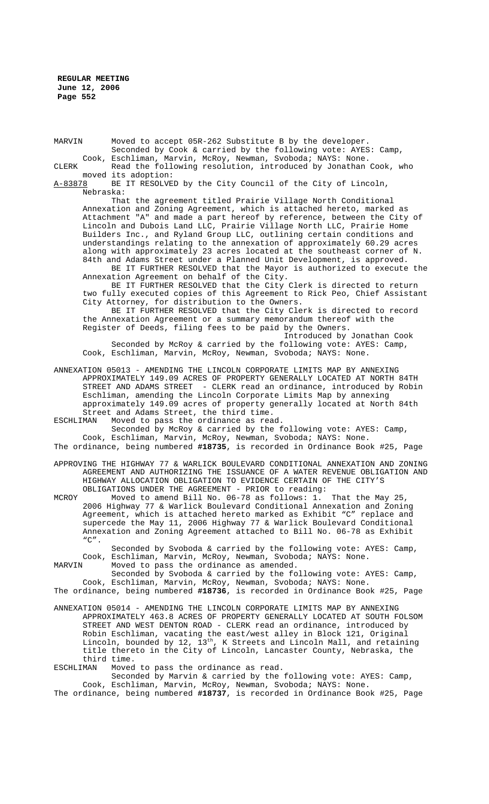MARVIN Moved to accept 05R-262 Substitute B by the developer. Seconded by Cook & carried by the following vote: AYES: Camp, Cook, Eschliman, Marvin, McRoy, Newman, Svoboda; NAYS: None.

CLERK Read the following resolution, introduced by Jonathan Cook, who moved its adoption:<br>A-83878 BE IT RESOLVE

BE IT RESOLVED by the City Council of the City of Lincoln, Nebraska:

That the agreement titled Prairie Village North Conditional Annexation and Zoning Agreement, which is attached hereto, marked as Attachment "A" and made a part hereof by reference, between the City of Lincoln and Dubois Land LLC, Prairie Village North LLC, Prairie Home Builders Inc., and Ryland Group LLC, outlining certain conditions and understandings relating to the annexation of approximately 60.29 acres along with approximately 23 acres located at the southeast corner of N. 84th and Adams Street under a Planned Unit Development, is approved. BE IT FURTHER RESOLVED that the Mayor is authorized to execute the

Annexation Agreement on behalf of the City.

BE IT FURTHER RESOLVED that the City Clerk is directed to return two fully executed copies of this Agreement to Rick Peo, Chief Assistant City Attorney, for distribution to the Owners.

BE IT FURTHER RESOLVED that the City Clerk is directed to record the Annexation Agreement or a summary memorandum thereof with the Register of Deeds, filing fees to be paid by the Owners.

Introduced by Jonathan Cook Seconded by McRoy & carried by the following vote: AYES: Camp, Cook, Eschliman, Marvin, McRoy, Newman, Svoboda; NAYS: None.

- ANNEXATION 05013 AMENDING THE LINCOLN CORPORATE LIMITS MAP BY ANNEXING APPROXIMATELY 149.09 ACRES OF PROPERTY GENERALLY LOCATED AT NORTH 84TH STREET AND ADAMS STREET - CLERK read an ordinance, introduced by Robin Eschliman, amending the Lincoln Corporate Limits Map by annexing approximately 149.09 acres of property generally located at North 84th Street and Adams Street, the third time.<br>ESCHLIMAN Moved to pass the ordinance as rea
	- Moved to pass the ordinance as read.

Seconded by McRoy & carried by the following vote: AYES: Camp, Cook, Eschliman, Marvin, McRoy, Newman, Svoboda; NAYS: None. The ordinance, being numbered **#18735**, is recorded in Ordinance Book #25, Page

APPROVING THE HIGHWAY 77 & WARLICK BOULEVARD CONDITIONAL ANNEXATION AND ZONING AGREEMENT AND AUTHORIZING THE ISSUANCE OF A WATER REVENUE OBLIGATION AND HIGHWAY ALLOCATION OBLIGATION TO EVIDENCE CERTAIN OF THE CITY'S OBLIGATIONS UNDER THE AGREEMENT - PRIOR to reading:

MCROY Moved to amend Bill No. 06-78 as follows: 1. That the May 25, 2006 Highway 77 & Warlick Boulevard Conditional Annexation and Zoning Agreement, which is attached hereto marked as Exhibit "C" replace and supercede the May 11, 2006 Highway 77 & Warlick Boulevard Conditional Annexation and Zoning Agreement attached to Bill No. 06-78 as Exhibit  $"C"$ .

Seconded by Svoboda & carried by the following vote: AYES: Camp, Cook, Eschliman, Marvin, McRoy, Newman, Svoboda; NAYS: None.<br>MARVIN Moved to pass the ordinance as amended.

Moved to pass the ordinance as amended.

Seconded by Svoboda & carried by the following vote: AYES: Camp, Cook, Eschliman, Marvin, McRoy, Newman, Svoboda; NAYS: None. The ordinance, being numbered **#18736**, is recorded in Ordinance Book #25, Page

ANNEXATION 05014 - AMENDING THE LINCOLN CORPORATE LIMITS MAP BY ANNEXING APPROXIMATELY 463.8 ACRES OF PROPERTY GENERALLY LOCATED AT SOUTH FOLSOM STREET AND WEST DENTON ROAD - CLERK read an ordinance, introduced by Robin Eschliman, vacating the east/west alley in Block 121, Original Lincoln, bounded by  $12$ ,  $13^{\text{th}}$ , K Streets and Lincoln Mall, and retaining title thereto in the City of Lincoln, Lancaster County, Nebraska, the

third time.<br>ESCHLIMAN Moved Moved to pass the ordinance as read.

Seconded by Marvin & carried by the following vote: AYES: Camp, Cook, Eschliman, Marvin, McRoy, Newman, Svoboda; NAYS: None.

The ordinance, being numbered **#18737**, is recorded in Ordinance Book #25, Page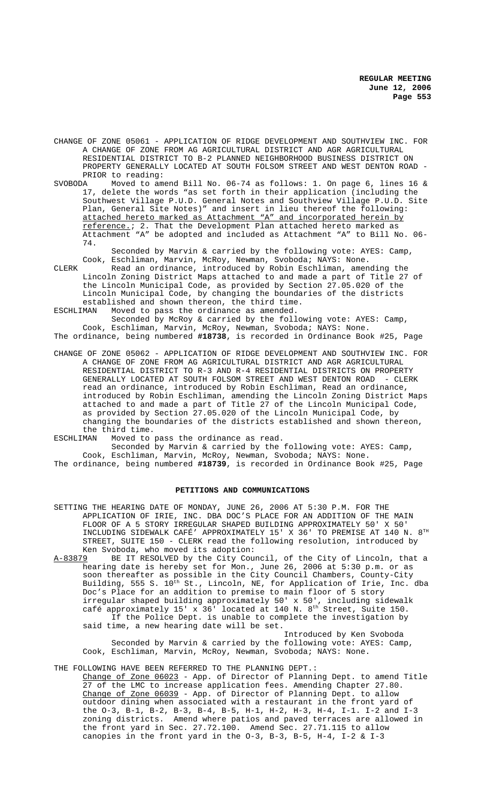- CHANGE OF ZONE 05061 APPLICATION OF RIDGE DEVELOPMENT AND SOUTHVIEW INC. FOR A CHANGE OF ZONE FROM AG AGRICULTURAL DISTRICT AND AGR AGRICULTURAL RESIDENTIAL DISTRICT TO B-2 PLANNED NEIGHBORHOOD BUSINESS DISTRICT ON PROPERTY GENERALLY LOCATED AT SOUTH FOLSOM STREET AND WEST DENTON ROAD - PRIOR to reading:<br>SVOBODA Moved to am
- SVOBODA Moved to amend Bill No. 06-74 as follows: 1. On page 6, lines 16 & 17, delete the words "as set forth in their application (including the Southwest Village P.U.D. General Notes and Southview Village P.U.D. Site Plan, General Site Notes)" and insert in lieu thereof the following: attached hereto marked as Attachment "A" and incorporated herein by reference.; 2. That the Development Plan attached hereto marked as Attachment "A" be adopted and included as Attachment "A" to Bill No. 06- 74.

Seconded by Marvin & carried by the following vote: AYES: Camp, Cook, Eschliman, Marvin, McRoy, Newman, Svoboda; NAYS: None.

CLERK Read an ordinance, introduced by Robin Eschliman, amending the Lincoln Zoning District Maps attached to and made a part of Title 27 of the Lincoln Municipal Code, as provided by Section 27.05.020 of the Lincoln Municipal Code, by changing the boundaries of the districts established and shown thereon, the third time.<br>ESCHLIMAN Moved to pass the ordinance as amended.

Moved to pass the ordinance as amended.

Seconded by McRoy & carried by the following vote: AYES: Camp, Cook, Eschliman, Marvin, McRoy, Newman, Svoboda; NAYS: None. The ordinance, being numbered **#18738**, is recorded in Ordinance Book #25, Page

CHANGE OF ZONE 05062 - APPLICATION OF RIDGE DEVELOPMENT AND SOUTHVIEW INC. FOR A CHANGE OF ZONE FROM AG AGRICULTURAL DISTRICT AND AGR AGRICULTURAL RESIDENTIAL DISTRICT TO R-3 AND R-4 RESIDENTIAL DISTRICTS ON PROPERTY GENERALLY LOCATED AT SOUTH FOLSOM STREET AND WEST DENTON ROAD - CLERK read an ordinance, introduced by Robin Eschliman, Read an ordinance, introduced by Robin Eschliman, amending the Lincoln Zoning District Maps attached to and made a part of Title 27 of the Lincoln Municipal Code, as provided by Section 27.05.020 of the Lincoln Municipal Code, by changing the boundaries of the districts established and shown thereon, the third time.

ESCHLIMAN Moved to pass the ordinance as read.

Seconded by Marvin & carried by the following vote: AYES: Camp, Cook, Eschliman, Marvin, McRoy, Newman, Svoboda; NAYS: None. The ordinance, being numbered **#18739**, is recorded in Ordinance Book #25, Page

# **PETITIONS AND COMMUNICATIONS**

- SETTING THE HEARING DATE OF MONDAY, JUNE 26, 2006 AT 5:30 P.M. FOR THE APPLICATION OF IRIE, INC. DBA DOC'S PLACE FOR AN ADDITION OF THE MAIN FLOOR OF A 5 STORY IRREGULAR SHAPED BUILDING APPROXIMATELY 50' X 50' INCLUDING SIDEWALK CAFÉ' APPROXIMATELY 15' X 36' TO PREMISE AT 140 N. 8TH STREET, SUITE 150 - CLERK read the following resolution, introduced by Ken Svoboda, who moved its adoption:<br>A-83879 BE IT RESOLVED by the City Cour
- A-83879 BE IT RESOLVED by the City Council, of the City of Lincoln, that a hearing date is hereby set for Mon., June 26, 2006 at 5:30 p.m. or as soon thereafter as possible in the City Council Chambers, County-City Building, 555 S. 10<sup>th</sup> St., Lincoln, NE, for Application of Irie, Inc. dba Doc's Place for an addition to premise to main floor of 5 story irregular shaped building approximately 50' x 50', including sidewalk café approximately 15' x 36' located at 140 N.  $8<sup>th</sup>$  Street, Suite 150. If the Police Dept. is unable to complete the investigation by said time, a new hearing date will be set.

Introduced by Ken Svoboda Seconded by Marvin & carried by the following vote: AYES: Camp, Cook, Eschliman, Marvin, McRoy, Newman, Svoboda; NAYS: None.

THE FOLLOWING HAVE BEEN REFERRED TO THE PLANNING DEPT.:

Change of Zone 06023 - App. of Director of Planning Dept. to amend Title 27 of the LMC to increase application fees. Amending Chapter 27.80. Change of Zone 06039 - App. of Director of Planning Dept. to allow outdoor dining when associated with a restaurant in the front yard of the O-3, B-1, B-2, B-3, B-4, B-5, H-1, H-2, H-3, H-4, I-1. I-2 and I-3 zoning districts. Amend where patios and paved terraces are allowed in the front yard in Sec. 27.72.100. Amend Sec. 27.71.115 to allow canopies in the front yard in the O-3, B-3, B-5, H-4, I-2 & I-3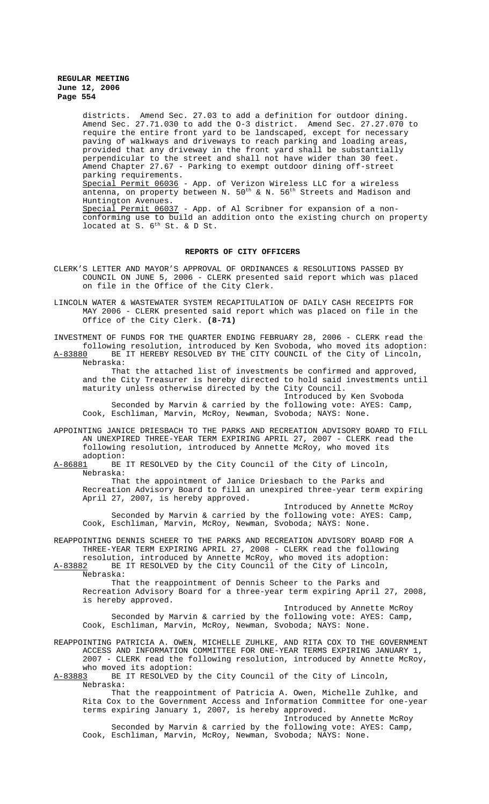districts. Amend Sec. 27.03 to add a definition for outdoor dining. Amend Sec. 27.71.030 to add the O-3 district. Amend Sec. 27.27.070 to require the entire front yard to be landscaped, except for necessary paving of walkways and driveways to reach parking and loading areas, provided that any driveway in the front yard shall be substantially perpendicular to the street and shall not have wider than 30 feet. Amend Chapter 27.67 - Parking to exempt outdoor dining off-street parking requirements. Special Permit 06036 - App. of Verizon Wireless LLC for a wireless antenna, on property between N.  $50^{\rm th}$  & N.  $56^{\rm th}$  Streets and Madison and Huntington Avenues. Special Permit 06037 - App. of Al Scribner for expansion of a nonconforming use to build an addition onto the existing church on property located at S. 6<sup>th</sup> St. & D St.

### **REPORTS OF CITY OFFICERS**

- CLERK'S LETTER AND MAYOR'S APPROVAL OF ORDINANCES & RESOLUTIONS PASSED BY COUNCIL ON JUNE 5, 2006 - CLERK presented said report which was placed on file in the Office of the City Clerk.
- LINCOLN WATER & WASTEWATER SYSTEM RECAPITULATION OF DAILY CASH RECEIPTS FOR MAY 2006 - CLERK presented said report which was placed on file in the Office of the City Clerk. **(8-71)**

INVESTMENT OF FUNDS FOR THE QUARTER ENDING FEBRUARY 28, 2006 - CLERK read the following resolution, introduced by Ken Svoboda, who moved its adoption: BE IT HEREBY RESOLVED BY THE CITY COUNCIL of the City of Lincoln, Nebraska:

That the attached list of investments be confirmed and approved, and the City Treasurer is hereby directed to hold said investments until maturity unless otherwise directed by the City Council.

Introduced by Ken Svoboda Seconded by Marvin & carried by the following vote: AYES: Camp, Cook, Eschliman, Marvin, McRoy, Newman, Svoboda; NAYS: None.

APPOINTING JANICE DRIESBACH TO THE PARKS AND RECREATION ADVISORY BOARD TO FILL AN UNEXPIRED THREE-YEAR TERM EXPIRING APRIL 27, 2007 - CLERK read the following resolution, introduced by Annette McRoy, who moved its

adoption:<br><u>A-86881</u> BE BE IT RESOLVED by the City Council of the City of Lincoln, Nebraska:

That the appointment of Janice Driesbach to the Parks and Recreation Advisory Board to fill an unexpired three-year term expiring April 27, 2007, is hereby approved.

Introduced by Annette McRoy Seconded by Marvin & carried by the following vote: AYES: Camp, Cook, Eschliman, Marvin, McRoy, Newman, Svoboda; NAYS: None.

REAPPOINTING DENNIS SCHEER TO THE PARKS AND RECREATION ADVISORY BOARD FOR A THREE-YEAR TERM EXPIRING APRIL 27, 2008 - CLERK read the following resolution, introduced by Annette McRoy, who moved its adoption:

A-83882 BE IT RESOLVED by the City Council of the City of Lincoln, Nebraska:

That the reappointment of Dennis Scheer to the Parks and Recreation Advisory Board for a three-year term expiring April 27, 2008, is hereby approved.

Introduced by Annette McRoy Seconded by Marvin & carried by the following vote: AYES: Camp, Cook, Eschliman, Marvin, McRoy, Newman, Svoboda; NAYS: None.

REAPPOINTING PATRICIA A. OWEN, MICHELLE ZUHLKE, AND RITA COX TO THE GOVERNMENT ACCESS AND INFORMATION COMMITTEE FOR ONE-YEAR TERMS EXPIRING JANUARY 1, 2007 - CLERK read the following resolution, introduced by Annette McRoy, who moved its adoption:

A-83883 BE IT RESOLVED by the City Council of the City of Lincoln, Nebraska:

That the reappointment of Patricia A. Owen, Michelle Zuhlke, and Rita Cox to the Government Access and Information Committee for one-year terms expiring January 1, 2007, is hereby approved. Introduced by Annette McRoy

Seconded by Marvin & carried by the following vote: AYES: Camp, Cook, Eschliman, Marvin, McRoy, Newman, Svoboda; NAYS: None.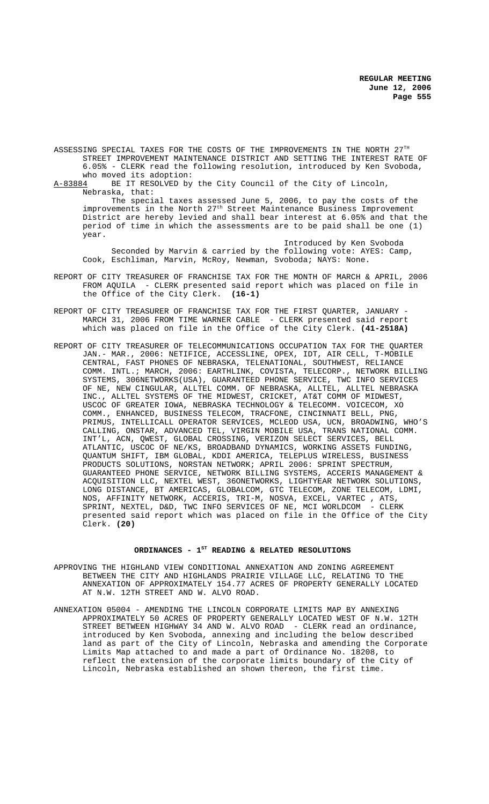ASSESSING SPECIAL TAXES FOR THE COSTS OF THE IMPROVEMENTS IN THE NORTH 27TH STREET IMPROVEMENT MAINTENANCE DISTRICT AND SETTING THE INTEREST RATE OF 6.05% - CLERK read the following resolution, introduced by Ken Svoboda,

who moved its adoption:<br>A-83884 BE IT RESOLVED by BE IT RESOLVED by the City Council of the City of Lincoln, Nebraska, that:

The special taxes assessed June 5, 2006, to pay the costs of the improvements in the North 27<sup>th</sup> Street Maintenance Business Improvement District are hereby levied and shall bear interest at 6.05% and that the period of time in which the assessments are to be paid shall be one (1) year.

Introduced by Ken Svoboda Seconded by Marvin & carried by the following vote: AYES: Camp, Cook, Eschliman, Marvin, McRoy, Newman, Svoboda; NAYS: None.

- REPORT OF CITY TREASURER OF FRANCHISE TAX FOR THE MONTH OF MARCH & APRIL, 2006 FROM AQUILA - CLERK presented said report which was placed on file in the Office of the City Clerk. **(16-1)**
- REPORT OF CITY TREASURER OF FRANCHISE TAX FOR THE FIRST QUARTER, JANUARY MARCH 31, 2006 FROM TIME WARNER CABLE - CLERK presented said report which was placed on file in the Office of the City Clerk. **(41-2518A)**
- REPORT OF CITY TREASURER OF TELECOMMUNICATIONS OCCUPATION TAX FOR THE QUARTER JAN.- MAR., 2006: NETIFICE, ACCESSLINE, OPEX, IDT, AIR CELL, T-MOBILE CENTRAL, FAST PHONES OF NEBRASKA, TELENATIONAL, SOUTHWEST, RELIANCE COMM. INTL.; MARCH, 2006: EARTHLINK, COVISTA, TELECORP., NETWORK BILLING SYSTEMS, 306NETWORKS(USA), GUARANTEED PHONE SERVICE, TWC INFO SERVICES OF NE, NEW CINGULAR, ALLTEL COMM. OF NEBRASKA, ALLTEL, ALLTEL NEBRASKA INC., ALLTEL SYSTEMS OF THE MIDWEST, CRICKET, AT&T COMM OF MIDWEST, USCOC OF GREATER IOWA, NEBRASKA TECHNOLOGY & TELECOMM. VOICECOM, XO COMM., ENHANCED, BUSINESS TELECOM, TRACFONE, CINCINNATI BELL, PNG, PRIMUS, INTELLICALL OPERATOR SERVICES, MCLEOD USA, UCN, BROADWING, WHO'S CALLING, ONSTAR, ADVANCED TEL, VIRGIN MOBILE USA, TRANS NATIONAL COMM. INT'L, ACN, QWEST, GLOBAL CROSSING, VERIZON SELECT SERVICES, BELL ATLANTIC, USCOC OF NE/KS, BROADBAND DYNAMICS, WORKING ASSETS FUNDING, QUANTUM SHIFT, IBM GLOBAL, KDDI AMERICA, TELEPLUS WIRELESS, BUSINESS PRODUCTS SOLUTIONS, NORSTAN NETWORK; APRIL 2006: SPRINT SPECTRUM, GUARANTEED PHONE SERVICE, NETWORK BILLING SYSTEMS, ACCERIS MANAGEMENT & ACQUISITION LLC, NEXTEL WEST, 36ONETWORKS, LIGHTYEAR NETWORK SOLUTIONS, LONG DISTANCE, BT AMERICAS, GLOBALCOM, GTC TELECOM, ZONE TELECOM, LDMI, NOS, AFFINITY NETWORK, ACCERIS, TRI-M, NOSVA, EXCEL, VARTEC , ATS, SPRINT, NEXTEL, D&D, TWC INFO SERVICES OF NE, MCI WORLDCOM - CLERK presented said report which was placed on file in the Office of the City Clerk. **(20)**

### ORDINANCES - 1<sup>st</sup> READING & RELATED RESOLUTIONS

- APPROVING THE HIGHLAND VIEW CONDITIONAL ANNEXATION AND ZONING AGREEMENT BETWEEN THE CITY AND HIGHLANDS PRAIRIE VILLAGE LLC, RELATING TO THE ANNEXATION OF APPROXIMATELY 154.77 ACRES OF PROPERTY GENERALLY LOCATED AT N.W. 12TH STREET AND W. ALVO ROAD.
- ANNEXATION 05004 AMENDING THE LINCOLN CORPORATE LIMITS MAP BY ANNEXING APPROXIMATELY 50 ACRES OF PROPERTY GENERALLY LOCATED WEST OF N.W. 12TH STREET BETWEEN HIGHWAY 34 AND W. ALVO ROAD - CLERK read an ordinance, introduced by Ken Svoboda, annexing and including the below described land as part of the City of Lincoln, Nebraska and amending the Corporate Limits Map attached to and made a part of Ordinance No. 18208, to reflect the extension of the corporate limits boundary of the City of Lincoln, Nebraska established an shown thereon, the first time.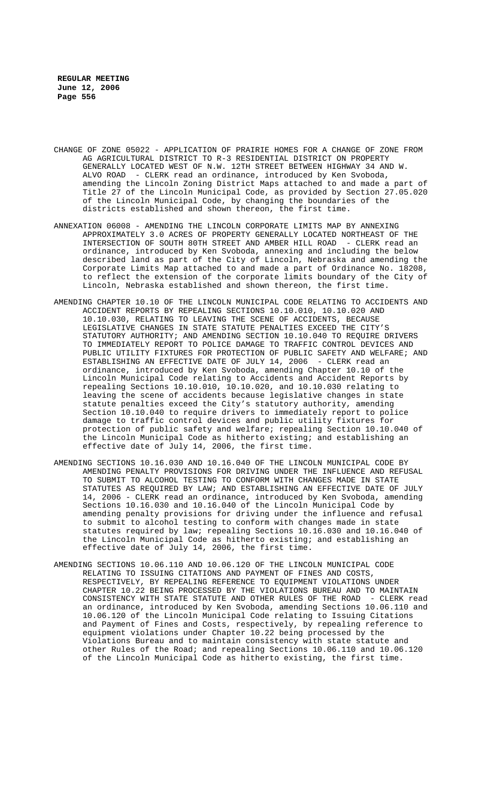- CHANGE OF ZONE 05022 APPLICATION OF PRAIRIE HOMES FOR A CHANGE OF ZONE FROM AG AGRICULTURAL DISTRICT TO R-3 RESIDENTIAL DISTRICT ON PROPERTY GENERALLY LOCATED WEST OF N.W. 12TH STREET BETWEEN HIGHWAY 34 AND W. ALVO ROAD - CLERK read an ordinance, introduced by Ken Svoboda, amending the Lincoln Zoning District Maps attached to and made a part of Title 27 of the Lincoln Municipal Code, as provided by Section 27.05.020 of the Lincoln Municipal Code, by changing the boundaries of the districts established and shown thereon, the first time.
- ANNEXATION 06008 AMENDING THE LINCOLN CORPORATE LIMITS MAP BY ANNEXING APPROXIMATELY 3.0 ACRES OF PROPERTY GENERALLY LOCATED NORTHEAST OF THE INTERSECTION OF SOUTH 80TH STREET AND AMBER HILL ROAD - CLERK read an ordinance, introduced by Ken Svoboda, annexing and including the below described land as part of the City of Lincoln, Nebraska and amending the Corporate Limits Map attached to and made a part of Ordinance No. 18208, to reflect the extension of the corporate limits boundary of the City of Lincoln, Nebraska established and shown thereon, the first time.
- AMENDING CHAPTER 10.10 OF THE LINCOLN MUNICIPAL CODE RELATING TO ACCIDENTS AND ACCIDENT REPORTS BY REPEALING SECTIONS 10.10.010, 10.10.020 AND 10.10.030, RELATING TO LEAVING THE SCENE OF ACCIDENTS, BECAUSE LEGISLATIVE CHANGES IN STATE STATUTE PENALTIES EXCEED THE CITY'S STATUTORY AUTHORITY; AND AMENDING SECTION 10.10.040 TO REQUIRE DRIVERS TO IMMEDIATELY REPORT TO POLICE DAMAGE TO TRAFFIC CONTROL DEVICES AND PUBLIC UTILITY FIXTURES FOR PROTECTION OF PUBLIC SAFETY AND WELFARE; AND ESTABLISHING AN EFFECTIVE DATE OF JULY 14, 2006 - CLERK read an ordinance, introduced by Ken Svoboda, amending Chapter 10.10 of the Lincoln Municipal Code relating to Accidents and Accident Reports by repealing Sections 10.10.010, 10.10.020, and 10.10.030 relating to leaving the scene of accidents because legislative changes in state statute penalties exceed the City's statutory authority, amending Section 10.10.040 to require drivers to immediately report to police damage to traffic control devices and public utility fixtures for protection of public safety and welfare; repealing Section 10.10.040 of the Lincoln Municipal Code as hitherto existing; and establishing an effective date of July 14, 2006, the first time.
- AMENDING SECTIONS 10.16.030 AND 10.16.040 OF THE LINCOLN MUNICIPAL CODE BY AMENDING PENALTY PROVISIONS FOR DRIVING UNDER THE INFLUENCE AND REFUSAL TO SUBMIT TO ALCOHOL TESTING TO CONFORM WITH CHANGES MADE IN STATE STATUTES AS REQUIRED BY LAW; AND ESTABLISHING AN EFFECTIVE DATE OF JULY 14, 2006 - CLERK read an ordinance, introduced by Ken Svoboda, amending Sections 10.16.030 and 10.16.040 of the Lincoln Municipal Code by amending penalty provisions for driving under the influence and refusal to submit to alcohol testing to conform with changes made in state statutes required by law; repealing Sections 10.16.030 and 10.16.040 of the Lincoln Municipal Code as hitherto existing; and establishing an effective date of July 14, 2006, the first time.
- AMENDING SECTIONS 10.06.110 AND 10.06.120 OF THE LINCOLN MUNICIPAL CODE RELATING TO ISSUING CITATIONS AND PAYMENT OF FINES AND COSTS, RESPECTIVELY, BY REPEALING REFERENCE TO EQUIPMENT VIOLATIONS UNDER CHAPTER 10.22 BEING PROCESSED BY THE VIOLATIONS BUREAU AND TO MAINTAIN CONSISTENCY WITH STATE STATUTE AND OTHER RULES OF THE ROAD - CLERK read an ordinance, introduced by Ken Svoboda, amending Sections 10.06.110 and 10.06.120 of the Lincoln Municipal Code relating to Issuing Citations and Payment of Fines and Costs, respectively, by repealing reference to equipment violations under Chapter 10.22 being processed by the Violations Bureau and to maintain consistency with state statute and other Rules of the Road; and repealing Sections 10.06.110 and 10.06.120 of the Lincoln Municipal Code as hitherto existing, the first time.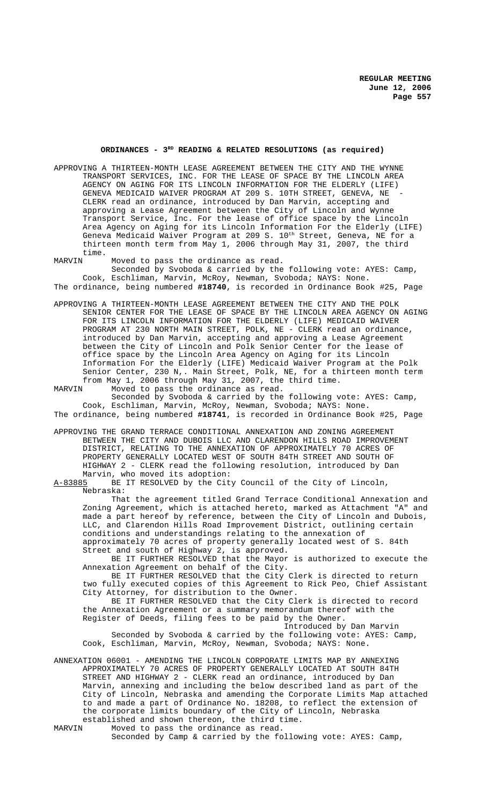# **ORDINANCES - 3RD READING & RELATED RESOLUTIONS (as required)**

- APPROVING A THIRTEEN-MONTH LEASE AGREEMENT BETWEEN THE CITY AND THE WYNNE TRANSPORT SERVICES, INC. FOR THE LEASE OF SPACE BY THE LINCOLN AREA AGENCY ON AGING FOR ITS LINCOLN INFORMATION FOR THE ELDERLY (LIFE) GENEVA MEDICAID WAIVER PROGRAM AT 209 S. 10TH STREET, GENEVA, NE CLERK read an ordinance, introduced by Dan Marvin, accepting and approving a Lease Agreement between the City of Lincoln and Wynne Transport Service, Inc. For the lease of office space by the Lincoln Area Agency on Aging for its Lincoln Information For the Elderly (LIFE) Geneva Medicaid Waiver Program at 209 S.  $10^{\rm th}$  Street, Geneva, NE for a thirteen month term from May 1, 2006 through May 31, 2007, the third time.
- MARVIN Moved to pass the ordinance as read. Seconded by Svoboda & carried by the following vote: AYES: Camp, Cook, Eschliman, Marvin, McRoy, Newman, Svoboda; NAYS: None. The ordinance, being numbered **#18740**, is recorded in Ordinance Book #25, Page
- 
- APPROVING A THIRTEEN-MONTH LEASE AGREEMENT BETWEEN THE CITY AND THE POLK SENIOR CENTER FOR THE LEASE OF SPACE BY THE LINCOLN AREA AGENCY ON AGING FOR ITS LINCOLN INFORMATION FOR THE ELDERLY (LIFE) MEDICAID WAIVER PROGRAM AT 230 NORTH MAIN STREET, POLK, NE - CLERK read an ordinance, introduced by Dan Marvin, accepting and approving a Lease Agreement between the City of Lincoln and Polk Senior Center for the lease of office space by the Lincoln Area Agency on Aging for its Lincoln Information For the Elderly (LIFE) Medicaid Waiver Program at the Polk Senior Center, 230 N,. Main Street, Polk, NE, for a thirteen month term
- from May 1, 2006 through May 31, 2007, the third time.<br>MARVIN Moved to pass the ordinance as read. Moved to pass the ordinance as read. Seconded by Svoboda & carried by the following vote: AYES: Camp, Cook, Eschliman, Marvin, McRoy, Newman, Svoboda; NAYS: None.
- The ordinance, being numbered **#18741**, is recorded in Ordinance Book #25, Page
- APPROVING THE GRAND TERRACE CONDITIONAL ANNEXATION AND ZONING AGREEMENT BETWEEN THE CITY AND DUBOIS LLC AND CLARENDON HILLS ROAD IMPROVEMENT DISTRICT, RELATING TO THE ANNEXATION OF APPROXIMATELY 70 ACRES OF PROPERTY GENERALLY LOCATED WEST OF SOUTH 84TH STREET AND SOUTH OF HIGHWAY 2 - CLERK read the following resolution, introduced by Dan Marvin, who moved its adoption:<br>A-83885 BE IT RESOLVED by the Cit

BE IT RESOLVED by the City Council of the City of Lincoln, Nebraska:

That the agreement titled Grand Terrace Conditional Annexation and Zoning Agreement, which is attached hereto, marked as Attachment "A" and made a part hereof by reference, between the City of Lincoln and Dubois,<br>LLC, and Clarendon Hills Road Improvement District, outlining certain and Clarendon Hills Road Improvement District, outlining certain conditions and understandings relating to the annexation of approximately 70 acres of property generally located west of S. 84th Street and south of Highway 2, is approved.

BE IT FURTHER RESOLVED that the Mayor is authorized to execute the Annexation Agreement on behalf of the City.

BE IT FURTHER RESOLVED that the City Clerk is directed to return two fully executed copies of this Agreement to Rick Peo, Chief Assistant City Attorney, for distribution to the Owner.

BE IT FURTHER RESOLVED that the City Clerk is directed to record the Annexation Agreement or a summary memorandum thereof with the Register of Deeds, filing fees to be paid by the Owner.

Introduced by Dan Marvin

Seconded by Svoboda & carried by the following vote: AYES: Camp, Cook, Eschliman, Marvin, McRoy, Newman, Svoboda; NAYS: None.

ANNEXATION 06001 - AMENDING THE LINCOLN CORPORATE LIMITS MAP BY ANNEXING APPROXIMATELY 70 ACRES OF PROPERTY GENERALLY LOCATED AT SOUTH 84TH STREET AND HIGHWAY 2 - CLERK read an ordinance, introduced by Dan Marvin, annexing and including the below described land as part of the City of Lincoln, Nebraska and amending the Corporate Limits Map attached to and made a part of Ordinance No. 18208, to reflect the extension of the corporate limits boundary of the City of Lincoln, Nebraska

established and shown thereon, the third time.<br>MARVIN Moved to pass the ordinance as read. Moved to pass the ordinance as read.

Seconded by Camp & carried by the following vote: AYES: Camp,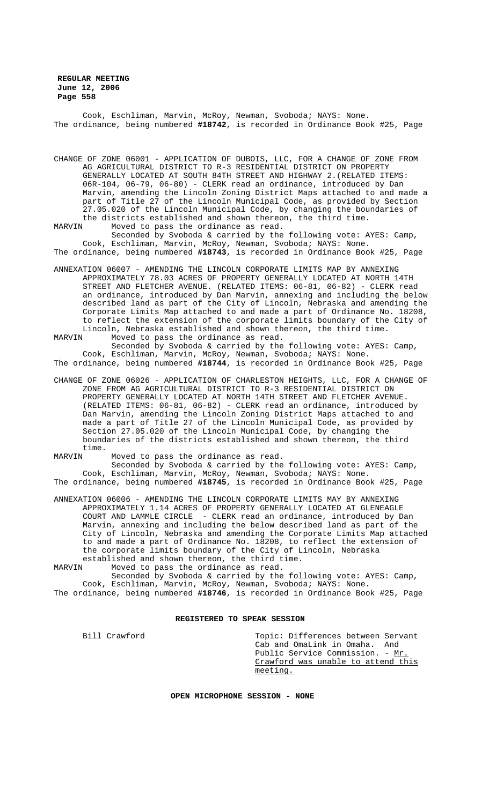Cook, Eschliman, Marvin, McRoy, Newman, Svoboda; NAYS: None. The ordinance, being numbered **#18742**, is recorded in Ordinance Book #25, Page

CHANGE OF ZONE 06001 - APPLICATION OF DUBOIS, LLC, FOR A CHANGE OF ZONE FROM AG AGRICULTURAL DISTRICT TO R-3 RESIDENTIAL DISTRICT ON PROPERTY GENERALLY LOCATED AT SOUTH 84TH STREET AND HIGHWAY 2.(RELATED ITEMS: 06R-104, 06-79, 06-80) - CLERK read an ordinance, introduced by Dan Marvin, amending the Lincoln Zoning District Maps attached to and made a part of Title 27 of the Lincoln Municipal Code, as provided by Section 27.05.020 of the Lincoln Municipal Code, by changing the boundaries of the districts established and shown thereon, the third time.<br>MARVIN Moved to pass the ordinance as read Moved to pass the ordinance as read.

Seconded by Svoboda & carried by the following vote: AYES: Camp, Cook, Eschliman, Marvin, McRoy, Newman, Svoboda; NAYS: None. The ordinance, being numbered **#18743**, is recorded in Ordinance Book #25, Page

ANNEXATION 06007 - AMENDING THE LINCOLN CORPORATE LIMITS MAP BY ANNEXING APPROXIMATELY 78.03 ACRES OF PROPERTY GENERALLY LOCATED AT NORTH 14TH STREET AND FLETCHER AVENUE. (RELATED ITEMS: 06-81, 06-82) - CLERK read an ordinance, introduced by Dan Marvin, annexing and including the below described land as part of the City of Lincoln, Nebraska and amending the Corporate Limits Map attached to and made a part of Ordinance No. 18208, to reflect the extension of the corporate limits boundary of the City of Lincoln, Nebraska established and shown thereon, the third time.<br>MARVIN Moved to pass the ordinance as read. Moved to pass the ordinance as read.

Seconded by Svoboda & carried by the following vote: AYES: Camp, Cook, Eschliman, Marvin, McRoy, Newman, Svoboda; NAYS: None. The ordinance, being numbered **#18744**, is recorded in Ordinance Book #25, Page

CHANGE OF ZONE 06026 - APPLICATION OF CHARLESTON HEIGHTS, LLC, FOR A CHANGE OF ZONE FROM AG AGRICULTURAL DISTRICT TO R-3 RESIDENTIAL DISTRICT ON PROPERTY GENERALLY LOCATED AT NORTH 14TH STREET AND FLETCHER AVENUE. (RELATED ITEMS: 06-81, 06-82) - CLERK read an ordinance, introduced by Dan Marvin, amending the Lincoln Zoning District Maps attached to and made a part of Title 27 of the Lincoln Municipal Code, as provided by Section 27.05.020 of the Lincoln Municipal Code, by changing the boundaries of the districts established and shown thereon, the third time.

MARVIN Moved to pass the ordinance as read.

Seconded by Svoboda & carried by the following vote: AYES: Camp, Cook, Eschliman, Marvin, McRoy, Newman, Svoboda; NAYS: None. The ordinance, being numbered **#18745**, is recorded in Ordinance Book #25, Page

ANNEXATION 06006 - AMENDING THE LINCOLN CORPORATE LIMITS MAY BY ANNEXING APPROXIMATELY 1.14 ACRES OF PROPERTY GENERALLY LOCATED AT GLENEAGLE COURT AND LAMMLE CIRCLE - CLERK read an ordinance, introduced by Dan Marvin, annexing and including the below described land as part of the City of Lincoln, Nebraska and amending the Corporate Limits Map attached to and made a part of Ordinance No. 18208, to reflect the extension of the corporate limits boundary of the City of Lincoln, Nebraska

established and shown thereon, the third time.<br>MARVIN Moved to pass the ordinance as read. Moved to pass the ordinance as read.

Seconded by Svoboda & carried by the following vote: AYES: Camp, Cook, Eschliman, Marvin, McRoy, Newman, Svoboda; NAYS: None. The ordinance, being numbered **#18746**, is recorded in Ordinance Book #25, Page

## **REGISTERED TO SPEAK SESSION**

Bill Crawford Topic: Differences between Servant Cab and OmaLink in Omaha. And Public Service Commission. - Mr Crawford was unable to attend this meeting.

**OPEN MICROPHONE SESSION - NONE**